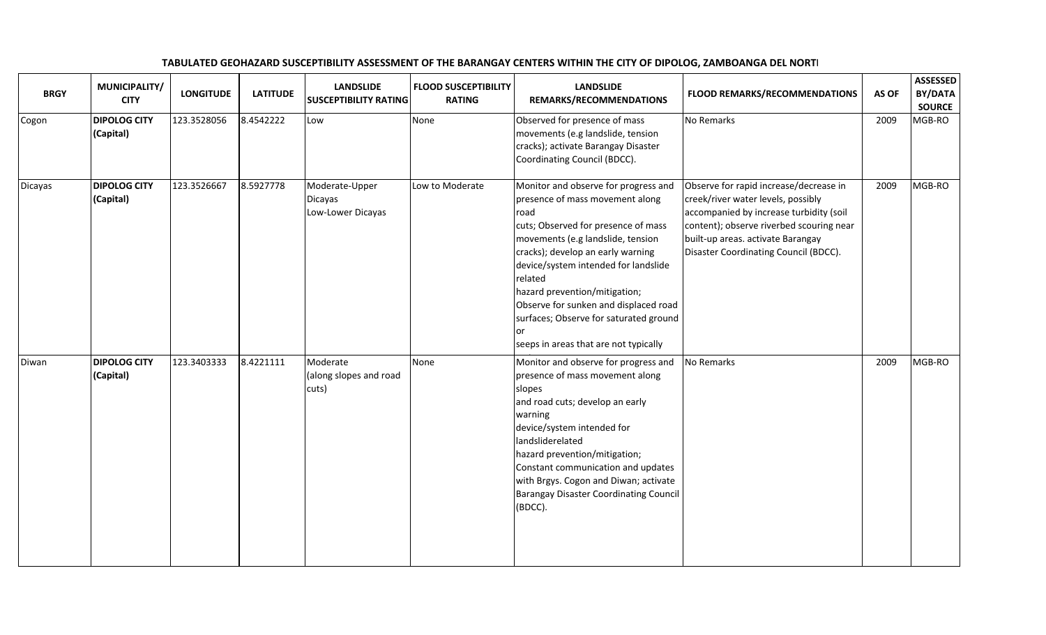| <b>BRGY</b> | MUNICIPALITY/<br><b>CITY</b>     | <b>LONGITUDE</b> | <b>LATITUDE</b> | <b>LANDSLIDE</b><br><b>SUSCEPTIBILITY RATING</b> | <b>FLOOD SUSCEPTIBILITY</b><br><b>RATING</b> | <b>LANDSLIDE</b><br>REMARKS/RECOMMENDATIONS                                                                                                                                                                                                                                                                                                                                                                                   | <b>FLOOD REMARKS/RECOMMENDATIONS</b>                                                                                                                                                                                                              | AS OF | <b>ASSESSED</b><br>BY/DATA<br><b>SOURCE</b> |
|-------------|----------------------------------|------------------|-----------------|--------------------------------------------------|----------------------------------------------|-------------------------------------------------------------------------------------------------------------------------------------------------------------------------------------------------------------------------------------------------------------------------------------------------------------------------------------------------------------------------------------------------------------------------------|---------------------------------------------------------------------------------------------------------------------------------------------------------------------------------------------------------------------------------------------------|-------|---------------------------------------------|
| Cogon       | <b>DIPOLOG CITY</b><br>(Capital) | 123.3528056      | 8.4542222       | Low                                              | None                                         | Observed for presence of mass<br>movements (e.g landslide, tension<br>cracks); activate Barangay Disaster<br>Coordinating Council (BDCC).                                                                                                                                                                                                                                                                                     | No Remarks                                                                                                                                                                                                                                        | 2009  | MGB-RO                                      |
| Dicayas     | <b>DIPOLOG CITY</b><br>(Capital) | 123.3526667      | 8.5927778       | Moderate-Upper<br>Dicayas<br>Low-Lower Dicayas   | Low to Moderate                              | Monitor and observe for progress and<br>presence of mass movement along<br>road<br>cuts; Observed for presence of mass<br>movements (e.g landslide, tension<br>cracks); develop an early warning<br>device/system intended for landslide<br>related<br>hazard prevention/mitigation;<br>Observe for sunken and displaced road<br>surfaces; Observe for saturated ground<br><b>or</b><br>seeps in areas that are not typically | Observe for rapid increase/decrease in<br>creek/river water levels, possibly<br>accompanied by increase turbidity (soil<br>content); observe riverbed scouring near<br>built-up areas. activate Barangay<br>Disaster Coordinating Council (BDCC). | 2009  | MGB-RO                                      |
| Diwan       | <b>DIPOLOG CITY</b><br>(Capital) | 123.3403333      | 8.4221111       | Moderate<br>(along slopes and road<br>cuts)      | None                                         | Monitor and observe for progress and<br>presence of mass movement along<br>slopes<br>and road cuts; develop an early<br>warning<br>device/system intended for<br>landsliderelated<br>hazard prevention/mitigation;<br>Constant communication and updates<br>with Brgys. Cogon and Diwan; activate<br><b>Barangay Disaster Coordinating Council</b><br>(BDCC).                                                                 | No Remarks                                                                                                                                                                                                                                        | 2009  | MGB-RO                                      |

## TABULATED GEOHAZARD SUSCEPTIBILITY ASSESSMENT OF THE BARANGAY CENTERS WITHIN THE CITY OF DIPOLOG, ZAMBOANGA DEL NORTE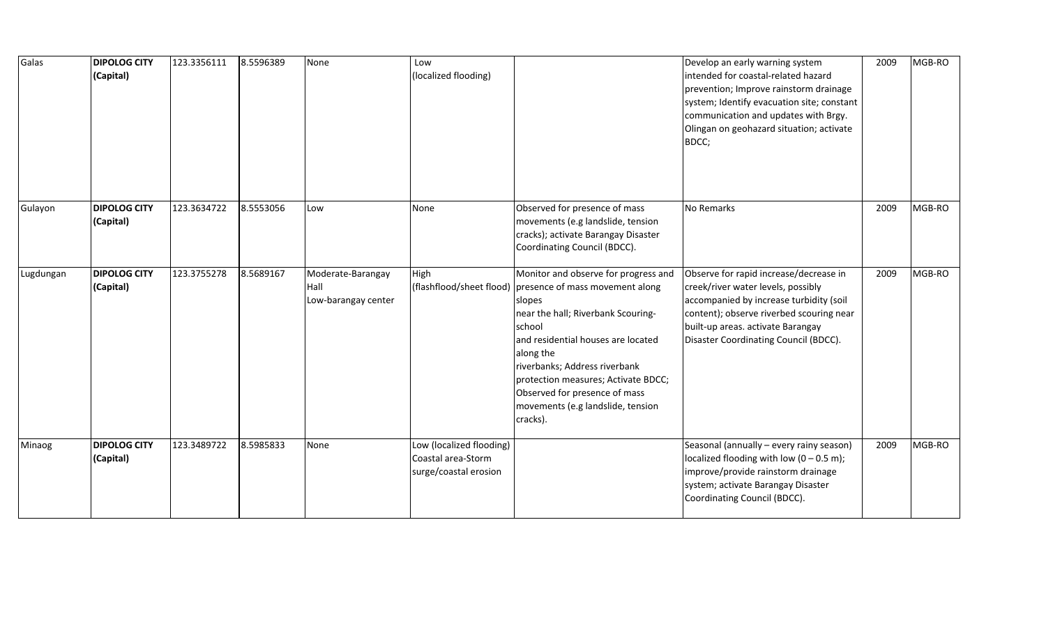| Galas     | <b>DIPOLOG CITY</b><br>(Capital) | 123.3356111 | 8.5596389 | None                                             | Low<br>(localized flooding)                                             |                                                                                                                                                                                                                                                                                                                                                                         | Develop an early warning system<br>intended for coastal-related hazard<br>prevention; Improve rainstorm drainage<br>system; Identify evacuation site; constant<br>communication and updates with Brgy.<br>Olingan on geohazard situation; activate<br>BDCC; | 2009 | MGB-RO |
|-----------|----------------------------------|-------------|-----------|--------------------------------------------------|-------------------------------------------------------------------------|-------------------------------------------------------------------------------------------------------------------------------------------------------------------------------------------------------------------------------------------------------------------------------------------------------------------------------------------------------------------------|-------------------------------------------------------------------------------------------------------------------------------------------------------------------------------------------------------------------------------------------------------------|------|--------|
| Gulayon   | <b>DIPOLOG CITY</b><br>(Capital) | 123.3634722 | 8.5553056 | Low                                              | None                                                                    | Observed for presence of mass<br>movements (e.g landslide, tension<br>cracks); activate Barangay Disaster<br>Coordinating Council (BDCC).                                                                                                                                                                                                                               | No Remarks                                                                                                                                                                                                                                                  | 2009 | MGB-RO |
| Lugdungan | <b>DIPOLOG CITY</b><br>(Capital) | 123.3755278 | 8.5689167 | Moderate-Barangay<br>Hall<br>Low-barangay center | High                                                                    | Monitor and observe for progress and<br>(flashflood/sheet flood) presence of mass movement along<br>slopes<br>near the hall; Riverbank Scouring-<br>school<br>and residential houses are located<br>along the<br>riverbanks; Address riverbank<br>protection measures; Activate BDCC;<br>Observed for presence of mass<br>movements (e.g landslide, tension<br>cracks). | Observe for rapid increase/decrease in<br>creek/river water levels, possibly<br>accompanied by increase turbidity (soil<br>content); observe riverbed scouring near<br>built-up areas. activate Barangay<br>Disaster Coordinating Council (BDCC).           | 2009 | MGB-RO |
| Minaog    | <b>DIPOLOG CITY</b><br>(Capital) | 123.3489722 | 8.5985833 | None                                             | Low (localized flooding)<br>Coastal area-Storm<br>surge/coastal erosion |                                                                                                                                                                                                                                                                                                                                                                         | Seasonal (annually - every rainy season)<br>localized flooding with low $(0 - 0.5 \text{ m})$ ;<br>improve/provide rainstorm drainage<br>system; activate Barangay Disaster<br>Coordinating Council (BDCC).                                                 | 2009 | MGB-RO |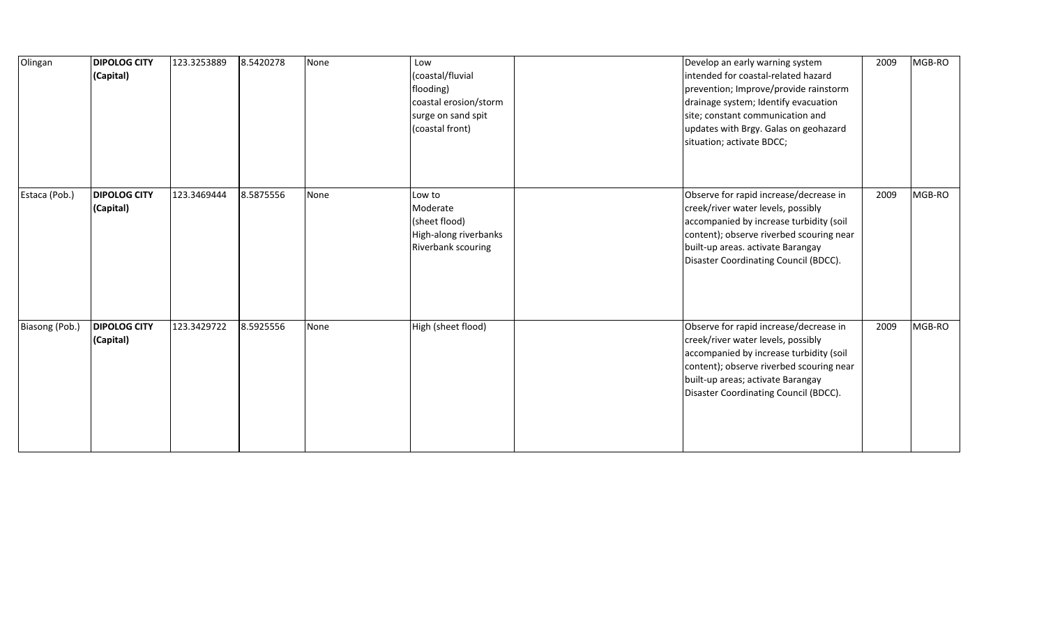| Olingan        | <b>DIPOLOG CITY</b><br>(Capital) | 123.3253889 | 8.5420278 | None | Low<br>(coastal/fluvial<br>flooding)<br>coastal erosion/storm<br>surge on sand spit<br>(coastal front) | Develop an early warning system<br>intended for coastal-related hazard<br>prevention; Improve/provide rainstorm<br>drainage system; Identify evacuation<br>site; constant communication and<br>updates with Brgy. Galas on geohazard<br>situation; activate BDCC; | 2009 | MGB-RO |
|----------------|----------------------------------|-------------|-----------|------|--------------------------------------------------------------------------------------------------------|-------------------------------------------------------------------------------------------------------------------------------------------------------------------------------------------------------------------------------------------------------------------|------|--------|
| Estaca (Pob.)  | <b>DIPOLOG CITY</b><br>(Capital) | 123.3469444 | 8.5875556 | None | Low to<br>Moderate<br>(sheet flood)<br>High-along riverbanks<br><b>Riverbank scouring</b>              | Observe for rapid increase/decrease in<br>creek/river water levels, possibly<br>accompanied by increase turbidity (soil<br>content); observe riverbed scouring near<br>built-up areas. activate Barangay<br>Disaster Coordinating Council (BDCC).                 | 2009 | MGB-RO |
| Biasong (Pob.) | <b>DIPOLOG CITY</b><br>(Capital) | 123.3429722 | 8.5925556 | None | High (sheet flood)                                                                                     | Observe for rapid increase/decrease in<br>creek/river water levels, possibly<br>accompanied by increase turbidity (soil<br>content); observe riverbed scouring near<br>built-up areas; activate Barangay<br>Disaster Coordinating Council (BDCC).                 | 2009 | MGB-RO |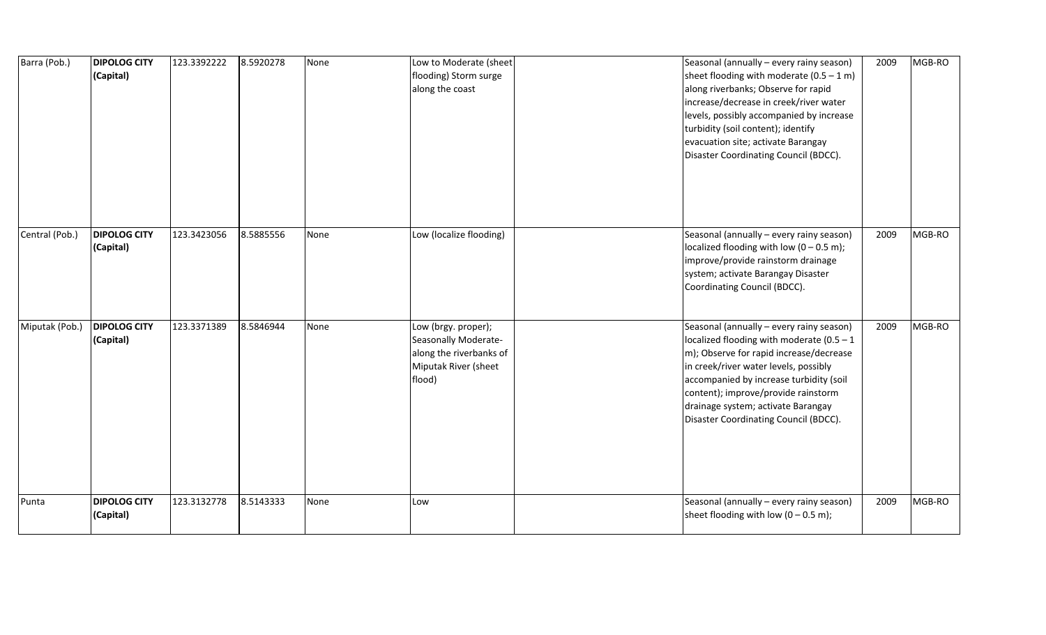| Barra (Pob.)   | <b>DIPOLOG CITY</b><br>(Capital) | 123.3392222 | 8.5920278 | None | Low to Moderate (sheet<br>flooding) Storm surge<br>along the coast                                       | Seasonal (annually - every rainy season)<br>sheet flooding with moderate $(0.5 - 1 \text{ m})$<br>along riverbanks; Observe for rapid<br>increase/decrease in creek/river water<br>levels, possibly accompanied by increase<br>turbidity (soil content); identify<br>evacuation site; activate Barangay<br>Disaster Coordinating Council (BDCC). | 2009 | MGB-RO |
|----------------|----------------------------------|-------------|-----------|------|----------------------------------------------------------------------------------------------------------|--------------------------------------------------------------------------------------------------------------------------------------------------------------------------------------------------------------------------------------------------------------------------------------------------------------------------------------------------|------|--------|
| Central (Pob.) | <b>DIPOLOG CITY</b><br>(Capital) | 123.3423056 | 8.5885556 | None | Low (localize flooding)                                                                                  | Seasonal (annually - every rainy season)<br>localized flooding with low $(0 - 0.5 \text{ m})$ ;<br>improve/provide rainstorm drainage<br>system; activate Barangay Disaster<br>Coordinating Council (BDCC).                                                                                                                                      | 2009 | MGB-RO |
| Miputak (Pob.) | <b>DIPOLOG CITY</b><br>(Capital) | 123.3371389 | 8.5846944 | None | Low (brgy. proper);<br>Seasonally Moderate-<br>along the riverbanks of<br>Miputak River (sheet<br>flood) | Seasonal (annually - every rainy season)<br>localized flooding with moderate (0.5 - 1<br>m); Observe for rapid increase/decrease<br>in creek/river water levels, possibly<br>accompanied by increase turbidity (soil<br>content); improve/provide rainstorm<br>drainage system; activate Barangay<br>Disaster Coordinating Council (BDCC).       | 2009 | MGB-RO |
| Punta          | <b>DIPOLOG CITY</b><br>(Capital) | 123.3132778 | 8.5143333 | None | Low                                                                                                      | Seasonal (annually - every rainy season)<br>sheet flooding with low $(0 - 0.5 \text{ m})$ ;                                                                                                                                                                                                                                                      | 2009 | MGB-RO |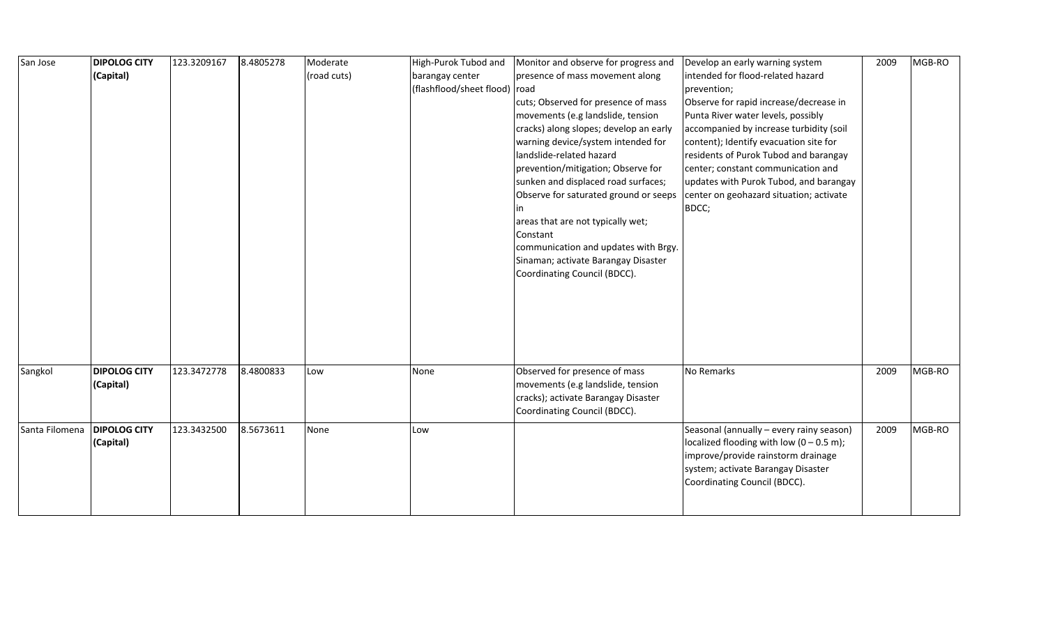| San Jose       | <b>DIPOLOG CITY</b> | 123.3209167 | 8.4805278 | Moderate    | High-Purok Tubod and          | Monitor and observe for progress and   | Develop an early warning system                     | 2009 | MGB-RO |
|----------------|---------------------|-------------|-----------|-------------|-------------------------------|----------------------------------------|-----------------------------------------------------|------|--------|
|                | (Capital)           |             |           | (road cuts) | barangay center               | presence of mass movement along        | intended for flood-related hazard                   |      |        |
|                |                     |             |           |             | (flashflood/sheet flood) road |                                        | prevention;                                         |      |        |
|                |                     |             |           |             |                               | cuts; Observed for presence of mass    | Observe for rapid increase/decrease in              |      |        |
|                |                     |             |           |             |                               | movements (e.g landslide, tension      | Punta River water levels, possibly                  |      |        |
|                |                     |             |           |             |                               | cracks) along slopes; develop an early | accompanied by increase turbidity (soil             |      |        |
|                |                     |             |           |             |                               | warning device/system intended for     | content); Identify evacuation site for              |      |        |
|                |                     |             |           |             |                               | landslide-related hazard               | residents of Purok Tubod and barangay               |      |        |
|                |                     |             |           |             |                               | prevention/mitigation; Observe for     | center; constant communication and                  |      |        |
|                |                     |             |           |             |                               | sunken and displaced road surfaces;    | updates with Purok Tubod, and barangay              |      |        |
|                |                     |             |           |             |                               | Observe for saturated ground or seeps  | center on geohazard situation; activate             |      |        |
|                |                     |             |           |             |                               |                                        | BDCC;                                               |      |        |
|                |                     |             |           |             |                               | areas that are not typically wet;      |                                                     |      |        |
|                |                     |             |           |             |                               | Constant                               |                                                     |      |        |
|                |                     |             |           |             |                               | communication and updates with Brgy.   |                                                     |      |        |
|                |                     |             |           |             |                               | Sinaman; activate Barangay Disaster    |                                                     |      |        |
|                |                     |             |           |             |                               | Coordinating Council (BDCC).           |                                                     |      |        |
|                |                     |             |           |             |                               |                                        |                                                     |      |        |
|                |                     |             |           |             |                               |                                        |                                                     |      |        |
|                |                     |             |           |             |                               |                                        |                                                     |      |        |
|                |                     |             |           |             |                               |                                        |                                                     |      |        |
|                |                     |             |           |             |                               |                                        |                                                     |      |        |
|                |                     |             |           |             |                               |                                        |                                                     |      |        |
| Sangkol        | <b>DIPOLOG CITY</b> | 123.3472778 | 8.4800833 | Low         | None                          | Observed for presence of mass          | No Remarks                                          | 2009 | MGB-RO |
|                | (Capital)           |             |           |             |                               | movements (e.g landslide, tension      |                                                     |      |        |
|                |                     |             |           |             |                               | cracks); activate Barangay Disaster    |                                                     |      |        |
|                |                     |             |           |             |                               | Coordinating Council (BDCC).           |                                                     |      |        |
| Santa Filomena | <b>DIPOLOG CITY</b> | 123.3432500 | 8.5673611 | None        | Low                           |                                        | Seasonal (annually - every rainy season)            | 2009 | MGB-RO |
|                | (Capital)           |             |           |             |                               |                                        | localized flooding with low $(0 - 0.5 \text{ m})$ ; |      |        |
|                |                     |             |           |             |                               |                                        | improve/provide rainstorm drainage                  |      |        |
|                |                     |             |           |             |                               |                                        | system; activate Barangay Disaster                  |      |        |
|                |                     |             |           |             |                               |                                        | Coordinating Council (BDCC).                        |      |        |
|                |                     |             |           |             |                               |                                        |                                                     |      |        |
|                |                     |             |           |             |                               |                                        |                                                     |      |        |